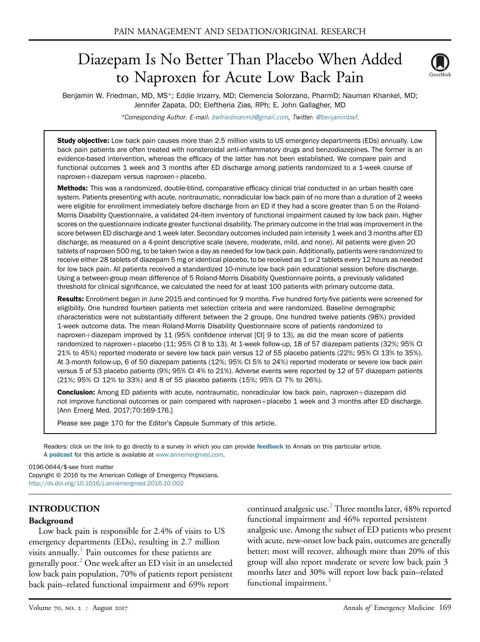# Diazepam Is No Better Than Placebo When Added to Naproxen for Acute Low Back Pain



Benjamin W. Friedman, MD, MS\*; Eddie Irizarry, MD; Clemencia Solorzano, PharmD; Nauman Khankel, MD; Jennifer Zapata, DO; Eleftheria Zias, RPh; E. John Gallagher, MD

\*Corresponding Author. E-mail: [bwfriedmanmd@gmail.com](mailto:bwfriedmanmd@gmail.com), Twitter: [@benjaminbwf](mailto:@benjaminbwf).

Study objective: Low back pain causes more than 2.5 million visits to US emergency departments (EDs) annually. Low back pain patients are often treated with nonsteroidal anti-inflammatory drugs and benzodiazepines. The former is an evidence-based intervention, whereas the efficacy of the latter has not been established. We compare pain and functional outcomes 1 week and 3 months after ED discharge among patients randomized to a 1-week course of naproxen+diazepam versus naproxen+placebo.

Methods: This was a randomized, double-blind, comparative efficacy clinical trial conducted in an urban health care system. Patients presenting with acute, nontraumatic, nonradicular low back pain of no more than a duration of 2 weeks were eligible for enrollment immediately before discharge from an ED if they had a score greater than 5 on the Roland-Morris Disability Questionnaire, a validated 24-item inventory of functional impairment caused by low back pain. Higher scores on the questionnaire indicate greater functional disability. The primary outcome in the trial was improvement in the score between ED discharge and 1 week later. Secondary outcomes included pain intensity 1 week and 3 months after ED discharge, as measured on a 4-point descriptive scale (severe, moderate, mild, and none). All patients were given 20 tablets of naproxen 500 mg, to be taken twice a day as needed for low back pain. Additionally, patients were randomized to receive either 28 tablets of diazepam 5 mg or identical placebo, to be received as 1 or 2 tablets every 12 hours as needed for low back pain. All patients received a standardized 10-minute low back pain educational session before discharge. Using a between-group mean difference of 5 Roland-Morris Disability Questionnaire points, a previously validated threshold for clinical significance, we calculated the need for at least 100 patients with primary outcome data.

Results: Enrollment began in June 2015 and continued for 9 months. Five hundred forty-five patients were screened for eligibility. One hundred fourteen patients met selection criteria and were randomized. Baseline demographic characteristics were not substantially different between the 2 groups. One hundred twelve patients (98%) provided 1-week outcome data. The mean Roland-Morris Disability Questionnaire score of patients randomized to naproxen+diazepam improved by 11 (95% confidence interval [CI] 9 to 13), as did the mean score of patients randomized to naproxen+placebo (11; 95% Cl 8 to 13). At 1-week follow-up, 18 of 57 diazepam patients (32%; 95% Cl 21% to 45%) reported moderate or severe low back pain versus 12 of 55 placebo patients (22%; 95% CI 13% to 35%). At 3-month follow-up, 6 of 50 diazepam patients (12%; 95% CI 5% to 24%) reported moderate or severe low back pain versus 5 of 53 placebo patients (9%; 95% CI 4% to 21%). Adverse events were reported by 12 of 57 diazepam patients (21%; 95% CI 12% to 33%) and 8 of 55 placebo patients (15%; 95% CI 7% to 26%).

Conclusion: Among ED patients with acute, nontraumatic, nonradicular low back pain, naproxen+diazepam did not improve functional outcomes or pain compared with naproxen+placebo 1 week and 3 months after ED discharge. [Ann Emerg Med. 2017;70:169-176.]

Please see page 170 for the Editor's Capsule Summary of this article.

Readers: click on the link to go directly to a survey in which you can provide [feedback](https://www.surveymonkey.com/r/ZFQ9DTP) to Annals on this particular article. A **[podcast](http://annemergmed.com/content/podcast)** for this article is available at [www.annemergmed.com](http://www.annemergmed.com).

0196-0644/\$-see front matter Copyright © 2016 by the American College of Emergency Physicians. <http://dx.doi.org/10.1016/j.annemergmed.2016.10.002>

## INTRODUCTION

## Background

Low back pain is responsible for 2.4% of visits to US emergency departments (EDs), resulting in 2.7 million visits annually.<sup>1</sup> Pain outcomes for these patients are generally poor.<sup>[2](#page-7-1)</sup> One week after an ED visit in an unselected low back pain population, 70% of patients report persistent back pain–related functional impairment and 69% report

continued analgesic use. $2$  Three months later, 48% reported functional impairment and 46% reported persistent analgesic use. Among the subset of ED patients who present with acute, new-onset low back pain, outcomes are generally better; most will recover, although more than 20% of this group will also report moderate or severe low back pain 3 months later and 30% will report low back pain–related functional impairment.<sup>3</sup>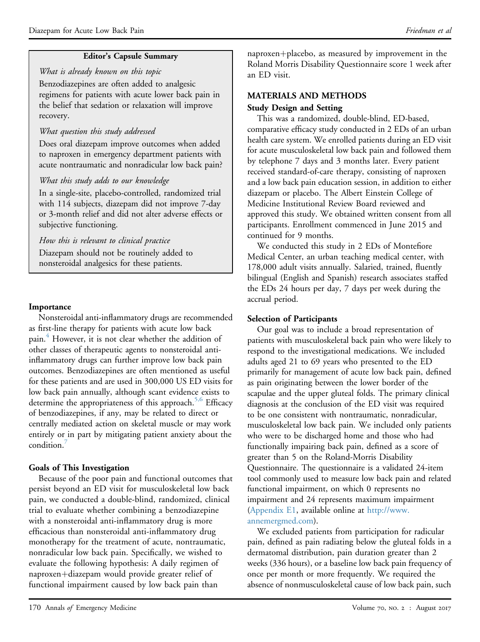## Editor's Capsule Summary

## What is already known on this topic

Benzodiazepines are often added to analgesic regimens for patients with acute lower back pain in the belief that sedation or relaxation will improve recovery.

## What question this study addressed

Does oral diazepam improve outcomes when added to naproxen in emergency department patients with acute nontraumatic and nonradicular low back pain?

# What this study adds to our knowledge

In a single-site, placebo-controlled, randomized trial with 114 subjects, diazepam did not improve 7-day or 3-month relief and did not alter adverse effects or subjective functioning.

How this is relevant to clinical practice Diazepam should not be routinely added to

nonsteroidal analgesics for these patients.

# Importance

Nonsteroidal anti-inflammatory drugs are recommended as first-line therapy for patients with acute low back pain.<sup>[4](#page-7-3)</sup> However, it is not clear whether the addition of other classes of therapeutic agents to nonsteroidal antiinflammatory drugs can further improve low back pain outcomes. Benzodiazepines are often mentioned as useful for these patients and are used in 300,000 US ED visits for low back pain annually, although scant evidence exists to determine the appropriateness of this approach.<sup>[5,6](#page-7-4)</sup> Efficacy of benzodiazepines, if any, may be related to direct or centrally mediated action on skeletal muscle or may work entirely or in part by mitigating patient anxiety about the condition.<sup>7</sup>

# Goals of This Investigation

Because of the poor pain and functional outcomes that persist beyond an ED visit for musculoskeletal low back pain, we conducted a double-blind, randomized, clinical trial to evaluate whether combining a benzodiazepine with a nonsteroidal anti-inflammatory drug is more efficacious than nonsteroidal anti-inflammatory drug monotherapy for the treatment of acute, nontraumatic, nonradicular low back pain. Specifically, we wished to evaluate the following hypothesis: A daily regimen of naproxen+diazepam would provide greater relief of functional impairment caused by low back pain than

naproxen+placebo, as measured by improvement in the Roland Morris Disability Questionnaire score 1 week after an ED visit.

# MATERIALS AND METHODS Study Design and Setting

This was a randomized, double-blind, ED-based, comparative efficacy study conducted in 2 EDs of an urban health care system. We enrolled patients during an ED visit for acute musculoskeletal low back pain and followed them by telephone 7 days and 3 months later. Every patient received standard-of-care therapy, consisting of naproxen and a low back pain education session, in addition to either diazepam or placebo. The Albert Einstein College of Medicine Institutional Review Board reviewed and approved this study. We obtained written consent from all participants. Enrollment commenced in June 2015 and continued for 9 months.

We conducted this study in 2 EDs of Montefiore Medical Center, an urban teaching medical center, with 178,000 adult visits annually. Salaried, trained, fluently bilingual (English and Spanish) research associates staffed the EDs 24 hours per day, 7 days per week during the accrual period.

# Selection of Participants

Our goal was to include a broad representation of patients with musculoskeletal back pain who were likely to respond to the investigational medications. We included adults aged 21 to 69 years who presented to the ED primarily for management of acute low back pain, defined as pain originating between the lower border of the scapulae and the upper gluteal folds. The primary clinical diagnosis at the conclusion of the ED visit was required to be one consistent with nontraumatic, nonradicular, musculoskeletal low back pain. We included only patients who were to be discharged home and those who had functionally impairing back pain, defined as a score of greater than 5 on the Roland-Morris Disability Questionnaire. The questionnaire is a validated 24-item tool commonly used to measure low back pain and related functional impairment, on which 0 represents no impairment and 24 represents maximum impairment (Appendix E1, available online at [http://www.](http://www.annemergmed.com) [annemergmed.com\)](http://www.annemergmed.com).

We excluded patients from participation for radicular pain, defined as pain radiating below the gluteal folds in a dermatomal distribution, pain duration greater than 2 weeks (336 hours), or a baseline low back pain frequency of once per month or more frequently. We required the absence of nonmusculoskeletal cause of low back pain, such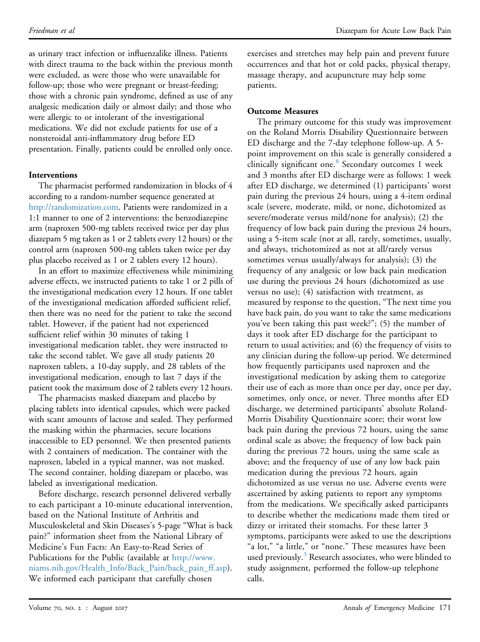as urinary tract infection or influenzalike illness. Patients with direct trauma to the back within the previous month were excluded, as were those who were unavailable for follow-up; those who were pregnant or breast-feeding; those with a chronic pain syndrome, defined as use of any analgesic medication daily or almost daily; and those who were allergic to or intolerant of the investigational medications. We did not exclude patients for use of a nonsteroidal anti-inflammatory drug before ED presentation. Finally, patients could be enrolled only once.

## Interventions

The pharmacist performed randomization in blocks of 4 according to a random-number sequence generated at <http://randomization.com>. Patients were randomized in a 1:1 manner to one of 2 interventions: the benzodiazepine arm (naproxen 500-mg tablets received twice per day plus diazepam 5 mg taken as 1 or 2 tablets every 12 hours) or the control arm (naproxen 500-mg tablets taken twice per day plus placebo received as 1 or 2 tablets every 12 hours).

In an effort to maximize effectiveness while minimizing adverse effects, we instructed patients to take 1 or 2 pills of the investigational medication every 12 hours. If one tablet of the investigational medication afforded sufficient relief, then there was no need for the patient to take the second tablet. However, if the patient had not experienced sufficient relief within 30 minutes of taking 1 investigational medication tablet, they were instructed to take the second tablet. We gave all study patients 20 naproxen tablets, a 10-day supply, and 28 tablets of the investigational medication, enough to last 7 days if the patient took the maximum dose of 2 tablets every 12 hours.

The pharmacists masked diazepam and placebo by placing tablets into identical capsules, which were packed with scant amounts of lactose and sealed. They performed the masking within the pharmacies, secure locations inaccessible to ED personnel. We then presented patients with 2 containers of medication. The container with the naproxen, labeled in a typical manner, was not masked. The second container, holding diazepam or placebo, was labeled as investigational medication.

Before discharge, research personnel delivered verbally to each participant a 10-minute educational intervention, based on the National Institute of Arthritis and Musculoskeletal and Skin Diseases's 5-page "What is back pain?" information sheet from the National Library of Medicine's Fun Facts: An Easy-to-Read Series of Publications for the Public (available at [http://www.](http://www.niams.nih.gov/Health_Info/Back_Pain/back_pain_ff.asp) [niams.nih.gov/Health\\_Info/Back\\_Pain/back\\_pain\\_ff.asp\)](http://www.niams.nih.gov/Health_Info/Back_Pain/back_pain_ff.asp). We informed each participant that carefully chosen

exercises and stretches may help pain and prevent future occurrences and that hot or cold packs, physical therapy, massage therapy, and acupuncture may help some patients.

## Outcome Measures

The primary outcome for this study was improvement on the Roland Morris Disability Questionnaire between ED discharge and the 7-day telephone follow-up. A 5 point improvement on this scale is generally considered a clinically significant one.<sup>[8](#page-7-6)</sup> Secondary outcomes 1 week and 3 months after ED discharge were as follows: 1 week after ED discharge, we determined (1) participants' worst pain during the previous 24 hours, using a 4-item ordinal scale (severe, moderate, mild, or none, dichotomized as severe/moderate versus mild/none for analysis); (2) the frequency of low back pain during the previous 24 hours, using a 5-item scale (not at all, rarely, sometimes, usually, and always, trichotomized as not at all/rarely versus sometimes versus usually/always for analysis); (3) the frequency of any analgesic or low back pain medication use during the previous 24 hours (dichotomized as use versus no use); (4) satisfaction with treatment, as measured by response to the question, "The next time you have back pain, do you want to take the same medications you've been taking this past week?"; (5) the number of days it took after ED discharge for the participant to return to usual activities; and (6) the frequency of visits to any clinician during the follow-up period. We determined how frequently participants used naproxen and the investigational medication by asking them to categorize their use of each as more than once per day, once per day, sometimes, only once, or never. Three months after ED discharge, we determined participants' absolute Roland-Morris Disability Questionnaire score; their worst low back pain during the previous 72 hours, using the same ordinal scale as above; the frequency of low back pain during the previous 72 hours, using the same scale as above; and the frequency of use of any low back pain medication during the previous 72 hours, again dichotomized as use versus no use. Adverse events were ascertained by asking patients to report any symptoms from the medications. We specifically asked participants to describe whether the medications made them tired or dizzy or irritated their stomachs. For these latter 3 symptoms, participants were asked to use the descriptions "a lot," "a little," or "none." These measures have been used previously. $3$  Research associates, who were blinded to study assignment, performed the follow-up telephone calls.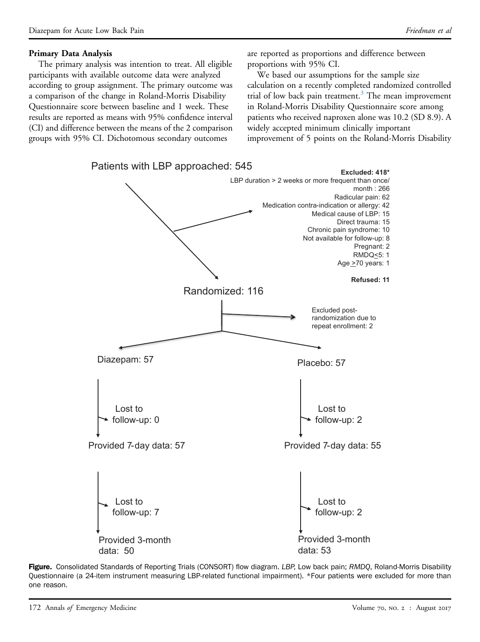## Primary Data Analysis

The primary analysis was intention to treat. All eligible participants with available outcome data were analyzed according to group assignment. The primary outcome was a comparison of the change in Roland-Morris Disability Questionnaire score between baseline and 1 week. These results are reported as means with 95% confidence interval (CI) and difference between the means of the 2 comparison groups with 95% CI. Dichotomous secondary outcomes

are reported as proportions and difference between proportions with 95% CI.

We based our assumptions for the sample size calculation on a recently completed randomized controlled trial of low back pain treatment.<sup>3</sup> The mean improvement in Roland-Morris Disability Questionnaire score among patients who received naproxen alone was 10.2 (SD 8.9). A widely accepted minimum clinically important improvement of 5 points on the Roland-Morris Disability

<span id="page-3-0"></span>

Figure. Consolidated Standards of Reporting Trials (CONSORT) flow diagram. LBP, Low back pain; RMDQ, Roland-Morris Disability Questionnaire (a 24-item instrument measuring LBP-related functional impairment). \*Four patients were excluded for more than one reason.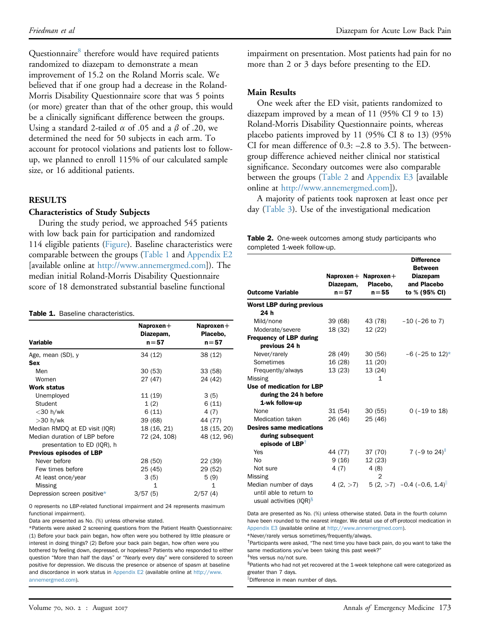Questionnaire<sup>[8](#page-7-6)</sup> therefore would have required patients randomized to diazepam to demonstrate a mean improvement of 15.2 on the Roland Morris scale. We believed that if one group had a decrease in the Roland-Morris Disability Questionnaire score that was 5 points (or more) greater than that of the other group, this would be a clinically significant difference between the groups. Using a standard 2-tailed  $\alpha$  of .05 and a  $\beta$  of .20, we determined the need for 50 subjects in each arm. To account for protocol violations and patients lost to followup, we planned to enroll 115% of our calculated sample size, or 16 additional patients.

## RESULTS

#### Characteristics of Study Subjects

During the study period, we approached 545 patients with low back pain for participation and randomized 114 eligible patients [\(Figure\)](#page-3-0). Baseline characteristics were comparable between the groups [\(Table 1](#page-4-0) and [Appendix E2](#page-8-0) [available online at [http://www.annemergmed.com\]](http://www.annemergmed.com)). The median initial Roland-Morris Disability Questionnaire score of 18 demonstrated substantial baseline functional

#### Table 1. Baseline characteristics.

| Variable                        | Naproxen $+$<br>Diazepam,<br>$n = 57$ | Naproxen $+$<br>Placebo,<br>$n = 57$ |
|---------------------------------|---------------------------------------|--------------------------------------|
| Age, mean (SD), y               | 34 (12)                               | 38 (12)                              |
| Sex                             |                                       |                                      |
| Men                             | 30(53)                                | 33 (58)                              |
| Women                           | 27 (47)                               | 24 (42)                              |
| Work status                     |                                       |                                      |
| Unemployed                      | 11 (19)                               | 3(5)                                 |
| Student                         | 1(2)                                  | 6(11)                                |
| $<$ 30 h/wk                     | 6(11)                                 | 4 (7)                                |
| $>30$ h/wk                      | 39 (68)                               | 44 (77)                              |
| Median RMDQ at ED visit (IQR)   | 18 (16, 21)                           | 18 (15, 20)                          |
| Median duration of LBP before   | 72 (24, 108)                          | 48 (12, 96)                          |
| presentation to ED (IQR), h     |                                       |                                      |
| <b>Previous episodes of LBP</b> |                                       |                                      |
| Never before                    | 28 (50)                               | 22 (39)                              |
| Few times before                | 25 (45)                               | 29 (52)                              |
| At least once/year              | 3(5)                                  | 5(9)                                 |
| Missing                         | $\mathbf{1}$                          | $\mathbf{1}$                         |
| Depression screen positive*     | 3/57(5)                               | 2/57(4)                              |

<span id="page-4-0"></span>0 represents no LBP-related functional impairment and 24 represents maximum functional impairment).

Data are presented as No. (%) unless otherwise stated.

<span id="page-4-2"></span>\*Patients were asked 2 screening questions from the Patient Health Questionnaire: (1) Before your back pain began, how often were you bothered by little pleasure or interest in doing things? (2) Before your back pain began, how often were you bothered by feeling down, depressed, or hopeless? Patients who responded to either question "More than half the days" or "Nearly every day" were considered to screen positive for depression. We discuss the presence or absence of spasm at baseline and discordance in work status in [Appendix E2](#page-8-0) (available online at [http://www.](http://www.annemergmed.com) [annemergmed.com](http://www.annemergmed.com)).

impairment on presentation. Most patients had pain for no more than 2 or 3 days before presenting to the ED.

#### Main Results

One week after the ED visit, patients randomized to diazepam improved by a mean of 11 (95% CI 9 to 13) Roland-Morris Disability Questionnaire points, whereas placebo patients improved by 11 (95% CI 8 to 13) (95% CI for mean difference of 0.3: –2.8 to 3.5). The betweengroup difference achieved neither clinical nor statistical significance. Secondary outcomes were also comparable between the groups ([Table 2](#page-4-1) and [Appendix E3](#page-8-1) [available online at [http://www.annemergmed.com\]](http://www.annemergmed.com)).

A majority of patients took naproxen at least once per day [\(Table 3](#page-5-0)). Use of the investigational medication

Table 2. One-week outcomes among study participants who completed 1-week follow-up.

| <b>Outcome Variable</b>                                                                 | Naproxen+<br>Diazepam,<br>$n = 57$ | $N$ aproxen +<br>Placebo,<br>$n = 55$ | <b>Difference</b><br><b>Between</b><br><b>Diazepam</b><br>and Placebo<br>to % (95% CI) |
|-----------------------------------------------------------------------------------------|------------------------------------|---------------------------------------|----------------------------------------------------------------------------------------|
| <b>Worst LBP during previous</b>                                                        |                                    |                                       |                                                                                        |
| 24 h                                                                                    |                                    |                                       |                                                                                        |
| Mild/none                                                                               | 39 (68)                            | 43 (78)                               | $-10$ ( $-26$ to 7)                                                                    |
| Moderate/severe                                                                         | 18 (32)                            | 12 (22)                               |                                                                                        |
| <b>Frequency of LBP during</b>                                                          |                                    |                                       |                                                                                        |
| previous 24 h                                                                           |                                    |                                       |                                                                                        |
| Never/rarely                                                                            | 28 (49)                            | 30(56)                                | $-6$ ( $-25$ to $12$ )*                                                                |
| Sometimes                                                                               | 16 (28)                            | 11 (20)                               |                                                                                        |
| Frequently/always                                                                       | 13 (23)                            | 13 (24)                               |                                                                                        |
| Missing                                                                                 |                                    | 1                                     |                                                                                        |
| Use of medication for LBP                                                               |                                    |                                       |                                                                                        |
| during the 24 h before                                                                  |                                    |                                       |                                                                                        |
| 1-wk follow-up                                                                          |                                    |                                       |                                                                                        |
| None                                                                                    | 31 (54)                            | 30(55)                                | $0$ ( $-19$ to $18$ )                                                                  |
| Medication taken                                                                        | 26 (46)                            | 25 (46)                               |                                                                                        |
| <b>Desires same medications</b>                                                         |                                    |                                       |                                                                                        |
| during subsequent                                                                       |                                    |                                       |                                                                                        |
| episode of LBP <sup>+</sup>                                                             |                                    |                                       |                                                                                        |
| Yes                                                                                     | 44 (77)                            | 37 (70)                               | 7 (-9 to $24$ ) <sup>‡</sup>                                                           |
| N <sub>0</sub>                                                                          | 9(16)                              | 12 (23)                               |                                                                                        |
| Not sure                                                                                | 4 (7)                              | 4(8)                                  |                                                                                        |
| Missing                                                                                 |                                    | $\overline{2}$                        |                                                                                        |
| Median number of days<br>until able to return to<br>usual activities (IQR) <sup>§</sup> | 4 (2, $>7$ )                       |                                       | $5(2, >7)$ -0.4 (-0.6, 1.4)                                                            |

<span id="page-4-1"></span>Data are presented as No. (%) unless otherwise stated. Data in the fourth column have been rounded to the nearest integer. We detail use of off-protocol medication in [Appendix E3](#page-8-1) (available online at [http://www.annemergmed.com\)](http://www.annemergmed.com).

<span id="page-4-3"></span>\*Never/rarely versus sometimes/frequently/always.

<span id="page-4-4"></span>† Participants were asked, "The next time you have back pain, do you want to take the same medications you've been taking this past week?"

<span id="page-4-5"></span>‡ Yes versus no/not sure.

<span id="page-4-6"></span>§ Patients who had not yet recovered at the 1-week telephone call were categorized as greater than 7 days.

Difference in mean number of days.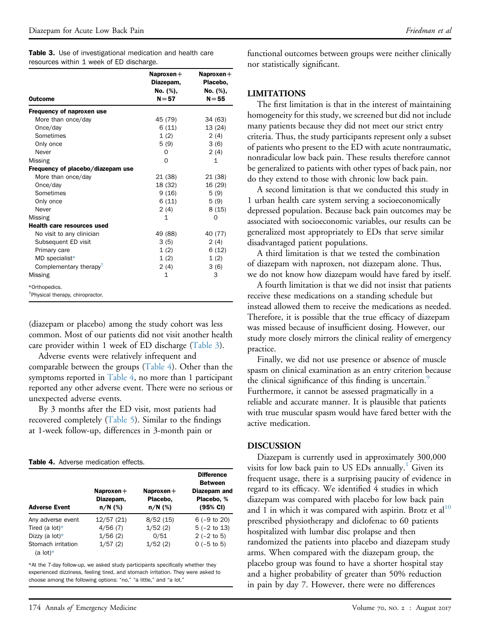<span id="page-5-0"></span>

| <b>Table 3.</b> Use of investigational medication and health care |  |
|-------------------------------------------------------------------|--|
| resources within 1 week of ED discharge.                          |  |

| <b>Outcome</b>                                                | $N$ aproxen $+$<br>Diazepam,<br>No. (%),<br>$N = 57$ | $N$ aproxen $+$<br>Placebo.<br>No. (%),<br>$N = 55$ |
|---------------------------------------------------------------|------------------------------------------------------|-----------------------------------------------------|
| Frequency of naproxen use                                     |                                                      |                                                     |
| More than once/day                                            | 45 (79)                                              | 34 (63)                                             |
| Once/day                                                      | 6(11)                                                | 13 (24)                                             |
| Sometimes                                                     | 1(2)                                                 | 2(4)                                                |
| Only once                                                     | 5(9)                                                 | 3(6)                                                |
| Never                                                         | $\Omega$                                             | 2(4)                                                |
| Missing                                                       | $\Omega$                                             | $\mathbf{1}$                                        |
| Frequency of placebo/diazepam use                             |                                                      |                                                     |
| More than once/day                                            | 21 (38)                                              | 21 (38)                                             |
| Once/day                                                      | 18 (32)                                              | 16 (29)                                             |
| Sometimes                                                     | 9(16)                                                | 5(9)                                                |
| Only once                                                     | 6(11)                                                | 5(9)                                                |
| Never                                                         | 2(4)                                                 | 8(15)                                               |
| Missing                                                       | $\mathbf{1}$                                         | $\Omega$                                            |
| Health care resources used                                    |                                                      |                                                     |
| No visit to any clinician                                     | 49 (88)                                              | 40 (77)                                             |
| Subsequent ED visit                                           | 3(5)                                                 | 2(4)                                                |
| Primary care                                                  | 1(2)                                                 | 6(12)                                               |
| $MD$ specialist*                                              | 1(2)                                                 | 1(2)                                                |
| Complementary therapy <sup>T</sup>                            | 2(4)                                                 | 3(6)                                                |
| Missing                                                       | $\mathbf{1}$                                         | 3                                                   |
| *Orthopedics.<br><sup>†</sup> Physical therapy, chiropractor. |                                                      |                                                     |

<span id="page-5-3"></span><span id="page-5-2"></span>(diazepam or placebo) among the study cohort was less common. Most of our patients did not visit another health care provider within 1 week of ED discharge [\(Table 3](#page-5-0)).

Adverse events were relatively infrequent and comparable between the groups ([Table 4](#page-5-1)). Other than the symptoms reported in [Table 4](#page-5-1), no more than 1 participant reported any other adverse event. There were no serious or unexpected adverse events.

By 3 months after the ED visit, most patients had recovered completely [\(Table 5](#page-6-0)). Similar to the findings at 1-week follow-up, differences in 3-month pain or

#### <span id="page-5-1"></span>Table 4. Adverse medication effects.

| <b>Adverse Event</b>           | $N$ aproxen $+$<br>Diazepam,<br>$n/N$ (%) | $N$ aproxen +<br>Placebo,<br>$n/N$ (%) | <b>Difference</b><br><b>Between</b><br>Diazepam and<br>Placebo, %<br>(95% CI) |
|--------------------------------|-------------------------------------------|----------------------------------------|-------------------------------------------------------------------------------|
| Any adverse event              | 12/57 (21)                                | 8/52(15)                               | $6(-9 to 20)$                                                                 |
| Tired (a lot) $*$              | 4/56(7)                                   | 1/52(2)                                | $5(-2 \text{ to } 13)$                                                        |
| Dizzy (a $\text{lot}$ )*       | 1/56(2)                                   | 0/51                                   | $2(-2 \text{ to } 5)$                                                         |
| Stomach irritation<br>(a lot)* | 1/57(2)                                   | 1/52(2)                                | $0$ ( $-5$ to 5)                                                              |

<span id="page-5-4"></span>\*At the 7-day follow-up, we asked study participants specifically whether they experienced dizziness, feeling tired, and stomach irritation. They were asked to choose among the following options: "no," "a little," and "a lot."

functional outcomes between groups were neither clinically nor statistically significant.

#### LIMITATIONS

The first limitation is that in the interest of maintaining homogeneity for this study, we screened but did not include many patients because they did not meet our strict entry criteria. Thus, the study participants represent only a subset of patients who present to the ED with acute nontraumatic, nonradicular low back pain. These results therefore cannot be generalized to patients with other types of back pain, nor do they extend to those with chronic low back pain.

A second limitation is that we conducted this study in 1 urban health care system serving a socioeconomically depressed population. Because back pain outcomes may be associated with socioeconomic variables, our results can be generalized most appropriately to EDs that serve similar disadvantaged patient populations.

A third limitation is that we tested the combination of diazepam with naproxen, not diazepam alone. Thus, we do not know how diazepam would have fared by itself.

A fourth limitation is that we did not insist that patients receive these medications on a standing schedule but instead allowed them to receive the medications as needed. Therefore, it is possible that the true efficacy of diazepam was missed because of insufficient dosing. However, our study more closely mirrors the clinical reality of emergency practice.

Finally, we did not use presence or absence of muscle spasm on clinical examination as an entry criterion because the clinical significance of this finding is uncertain.<sup>[9](#page-7-7)</sup> Furthermore, it cannot be assessed pragmatically in a reliable and accurate manner. It is plausible that patients with true muscular spasm would have fared better with the active medication.

#### DISCUSSION

Diazepam is currently used in approximately 300,000 visits for low back pain to US  $EDs$  annually.<sup>[1](#page-7-0)</sup> Given its frequent usage, there is a surprising paucity of evidence in regard to its efficacy. We identified 4 studies in which diazepam was compared with placebo for low back pain and 1 in which it was compared with aspirin. Brotz et  $al<sup>10</sup>$  $al<sup>10</sup>$  $al<sup>10</sup>$ prescribed physiotherapy and diclofenac to 60 patients hospitalized with lumbar disc prolapse and then randomized the patients into placebo and diazepam study arms. When compared with the diazepam group, the placebo group was found to have a shorter hospital stay and a higher probability of greater than 50% reduction in pain by day 7. However, there were no differences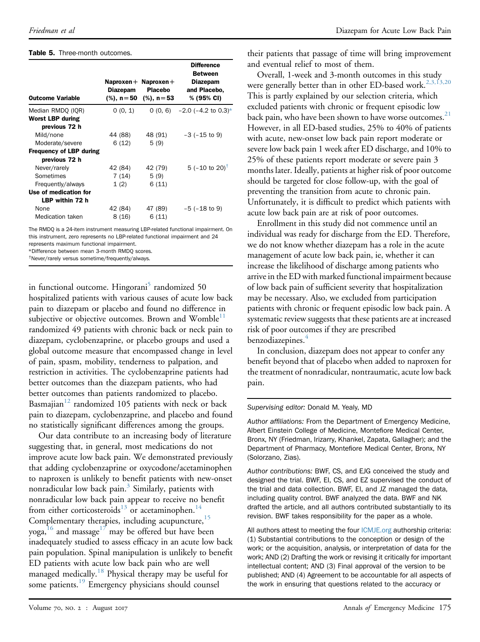#### Table 5. Three-month outcomes.

| <b>Outcome Variable</b>        | Naproxen+<br><b>Diazepam</b> | $N$ aproxen +<br><b>Placebo</b><br>$(\%)$ , n = 50 $(\%)$ , n = 53 | <b>Difference</b><br><b>Between</b><br><b>Diazepam</b><br>and Placebo,<br>% (95% CI) |
|--------------------------------|------------------------------|--------------------------------------------------------------------|--------------------------------------------------------------------------------------|
| Median RMDO (IOR)              | 0(0, 1)                      |                                                                    | 0 (0, 6) $-2.0$ ( $-4.2$ to 0.3)*                                                    |
| Worst LBP during               |                              |                                                                    |                                                                                      |
| previous 72 h                  |                              |                                                                    |                                                                                      |
| Mild/none                      | 44 (88)                      | 48 (91)                                                            | $-3$ ( $-15$ to 9)                                                                   |
| Moderate/severe                | 6 (12)                       | 5(9)                                                               |                                                                                      |
| <b>Frequency of LBP during</b> |                              |                                                                    |                                                                                      |
| previous 72 h                  |                              |                                                                    |                                                                                      |
| Never/rarely                   | 42 (84)                      | 42 (79)                                                            | 5 ( $-10$ to $20$ ) <sup>†</sup>                                                     |
| Sometimes                      | 7(14)                        | 5(9)                                                               |                                                                                      |
| Frequently/always              | 1(2)                         | 6(11)                                                              |                                                                                      |
| Use of medication for          |                              |                                                                    |                                                                                      |
| LBP within 72 h                |                              |                                                                    |                                                                                      |
| None                           | 42 (84)                      | 47 (89)                                                            | $-5$ ( $-18$ to 9)                                                                   |
| Medication taken               | 8 (16)                       | 6(11)                                                              |                                                                                      |

<span id="page-6-0"></span>The RMDQ is a 24-item instrument measuring LBP-related functional impairment. On this instrument, zero represents no LBP-related functional impairment and 24 represents maximum functional impairment.

<span id="page-6-1"></span>\*Difference between mean 3-month RMDQ scores.

<span id="page-6-2"></span>† Never/rarely versus sometime/frequently/always.

in functional outcome. Hingorani<sup>[5](#page-7-4)</sup> randomized 50 hospitalized patients with various causes of acute low back pain to diazepam or placebo and found no difference in subjective or objective outcomes. Brown and Womble<sup>11</sup> randomized 49 patients with chronic back or neck pain to diazepam, cyclobenzaprine, or placebo groups and used a global outcome measure that encompassed change in level of pain, spasm, mobility, tenderness to palpation, and restriction in activities. The cyclobenzaprine patients had better outcomes than the diazepam patients, who had better outcomes than patients randomized to placebo. Basmajian $^{12}$  $^{12}$  $^{12}$  randomized 105 patients with neck or back pain to diazepam, cyclobenzaprine, and placebo and found no statistically significant differences among the groups.

Our data contribute to an increasing body of literature suggesting that, in general, most medications do not improve acute low back pain. We demonstrated previously that adding cyclobenzaprine or oxycodone/acetaminophen to naproxen is unlikely to benefit patients with new-onset nonradicular low back pain.<sup>3</sup> Similarly, patients with nonradicular low back pain appear to receive no benefit from either corticosteroids<sup>[13](#page-7-11)</sup> or acetaminophen.<sup>[14](#page-7-12)</sup> Complementary therapies, including acupuncture,  $15$ yoga, $^{16}$  $^{16}$  $^{16}$  and massage $^{17}$  may be offered but have been inadequately studied to assess efficacy in an acute low back pain population. Spinal manipulation is unlikely to benefit ED patients with acute low back pain who are well managed medically.[18](#page-7-16) Physical therapy may be useful for some patients.<sup>[19](#page-7-17)</sup> Emergency physicians should counsel

their patients that passage of time will bring improvement and eventual relief to most of them.

Overall, 1-week and 3-month outcomes in this study were generally better than in other ED-based work.<sup>[2,3,13,20](#page-7-1)</sup> This is partly explained by our selection criteria, which excluded patients with chronic or frequent episodic low back pain, who have been shown to have worse outcomes. $21$ However, in all ED-based studies, 25% to 40% of patients with acute, new-onset low back pain report moderate or severe low back pain 1 week after ED discharge, and 10% to 25% of these patients report moderate or severe pain 3 months later. Ideally, patients at higher risk of poor outcome should be targeted for close follow-up, with the goal of preventing the transition from acute to chronic pain. Unfortunately, it is difficult to predict which patients with acute low back pain are at risk of poor outcomes.

Enrollment in this study did not commence until an individual was ready for discharge from the ED. Therefore, we do not know whether diazepam has a role in the acute management of acute low back pain, ie, whether it can increase the likelihood of discharge among patients who arrive in the ED with marked functional impairment because of low back pain of sufficient severity that hospitalization may be necessary. Also, we excluded from participation patients with chronic or frequent episodic low back pain. A systematic review suggests that these patients are at increased risk of poor outcomes if they are prescribed benzodiazepines.<sup>[4](#page-7-3)</sup>

In conclusion, diazepam does not appear to confer any benefit beyond that of placebo when added to naproxen for the treatment of nonradicular, nontraumatic, acute low back pain.

#### Supervising editor: Donald M. Yealy, MD

Author affiliations: From the Department of Emergency Medicine, Albert Einstein College of Medicine, Montefiore Medical Center, Bronx, NY (Friedman, Irizarry, Khankel, Zapata, Gallagher); and the Department of Pharmacy, Montefiore Medical Center, Bronx, NY (Solorzano, Zias).

Author contributions: BWF, CS, and EJG conceived the study and designed the trial. BWF, EI, CS, and EZ supervised the conduct of the trial and data collection. BWF, EI, and JZ managed the data, including quality control. BWF analyzed the data. BWF and NK drafted the article, and all authors contributed substantially to its revision. BWF takes responsibility for the paper as a whole.

All authors attest to meeting the four [ICMJE.org](http://ICMJE.org) authorship criteria: (1) Substantial contributions to the conception or design of the work; or the acquisition, analysis, or interpretation of data for the work; AND (2) Drafting the work or revising it critically for important intellectual content; AND (3) Final approval of the version to be published; AND (4) Agreement to be accountable for all aspects of the work in ensuring that questions related to the accuracy or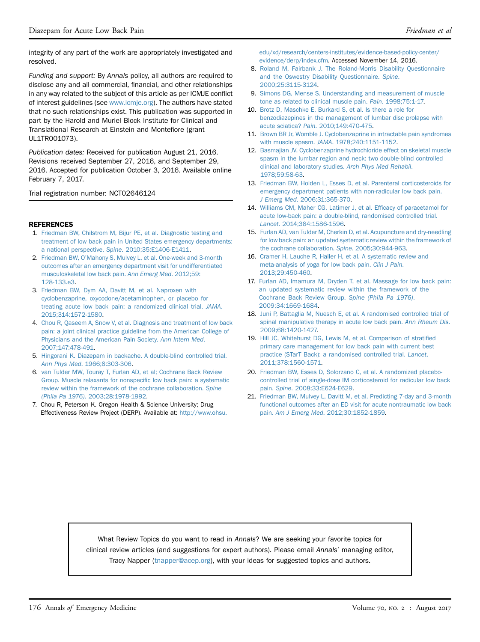integrity of any part of the work are appropriately investigated and resolved.

Funding and support: By Annals policy, all authors are required to disclose any and all commercial, financial, and other relationships in any way related to the subject of this article as per ICMJE conflict of interest guidelines (see [www.icmje.org\)](http://www.icmje.org/). The authors have stated that no such relationships exist. This publication was supported in part by the Harold and Muriel Block Institute for Clinical and Translational Research at Einstein and Montefiore (grant UL1TR001073).

Publication dates: Received for publication August 21, 2016. Revisions received September 27, 2016, and September 29, 2016. Accepted for publication October 3, 2016. Available online February 7, 2017.

Trial registration number: NCT02646124

#### <span id="page-7-0"></span>**REFERENCES**

- 1. [Friedman BW, Chilstrom M, Bijur PE, et al. Diagnostic testing and](http://refhub.elsevier.com/S0196-0644(16)31214-8/sref1) [treatment of low back pain in United States emergency departments:](http://refhub.elsevier.com/S0196-0644(16)31214-8/sref1) a national perspective. Spine[. 2010;35:E1406-E1411](http://refhub.elsevier.com/S0196-0644(16)31214-8/sref1).
- <span id="page-7-1"></span>2. Friedman BW, O'[Mahony S, Mulvey L, et al. One-week and 3-month](http://refhub.elsevier.com/S0196-0644(16)31214-8/sref2) [outcomes after an emergency department visit for undifferentiated](http://refhub.elsevier.com/S0196-0644(16)31214-8/sref2) [musculoskeletal low back pain.](http://refhub.elsevier.com/S0196-0644(16)31214-8/sref2) Ann Emerg Med. 2012;59: [128-133.e3.](http://refhub.elsevier.com/S0196-0644(16)31214-8/sref2)
- <span id="page-7-2"></span>3. [Friedman BW, Dym AA, Davitt M, et al. Naproxen with](http://refhub.elsevier.com/S0196-0644(16)31214-8/sref3) [cyclobenzaprine, oxycodone/acetaminophen, or placebo for](http://refhub.elsevier.com/S0196-0644(16)31214-8/sref3) [treating acute low back pain: a randomized clinical trial.](http://refhub.elsevier.com/S0196-0644(16)31214-8/sref3) JAMA. [2015;314:1572-1580.](http://refhub.elsevier.com/S0196-0644(16)31214-8/sref3)
- <span id="page-7-3"></span>4. [Chou R, Qaseem A, Snow V, et al. Diagnosis and treatment of low back](http://refhub.elsevier.com/S0196-0644(16)31214-8/sref4) [pain: a joint clinical practice guideline from the American College of](http://refhub.elsevier.com/S0196-0644(16)31214-8/sref4) [Physicians and the American Pain Society.](http://refhub.elsevier.com/S0196-0644(16)31214-8/sref4) Ann Intern Med. [2007;147:478-491](http://refhub.elsevier.com/S0196-0644(16)31214-8/sref4).
- <span id="page-7-4"></span>5. [Hingorani K. Diazepam in backache. A double-blind controlled trial.](http://refhub.elsevier.com/S0196-0644(16)31214-8/sref5) Ann Phys Med[. 1966;8:303-306](http://refhub.elsevier.com/S0196-0644(16)31214-8/sref5).
- 6. [van Tulder MW, Touray T, Furlan AD, et al; Cochrane Back Review](http://refhub.elsevier.com/S0196-0644(16)31214-8/sref6) [Group. Muscle relaxants for nonspeci](http://refhub.elsevier.com/S0196-0644(16)31214-8/sref6)fic low back pain: a systematic [review within the framework of the cochrane collaboration.](http://refhub.elsevier.com/S0196-0644(16)31214-8/sref6) Spine (Phila Pa 1976)[. 2003;28:1978-1992](http://refhub.elsevier.com/S0196-0644(16)31214-8/sref6).
- <span id="page-7-5"></span>7. Chou R, Peterson K. Oregon Health & Science University; Drug Effectiveness Review Project (DERP). Available at: [http://www.ohsu.](http://www.ohsu.edu/xd/research/centers-institutes/evidence-based-policy-center/evidence/derp/index.cfm)

[edu/xd/research/centers-institutes/evidence-based-policy-center/](http://www.ohsu.edu/xd/research/centers-institutes/evidence-based-policy-center/evidence/derp/index.cfm) [evidence/derp/index.cfm.](http://www.ohsu.edu/xd/research/centers-institutes/evidence-based-policy-center/evidence/derp/index.cfm) Accessed November 14, 2016.

- <span id="page-7-6"></span>8. [Roland M, Fairbank J. The Roland-Morris Disability Questionnaire](http://refhub.elsevier.com/S0196-0644(16)31214-8/sref8) [and the Oswestry Disability Questionnaire.](http://refhub.elsevier.com/S0196-0644(16)31214-8/sref8) Spine. [2000;25:3115-3124.](http://refhub.elsevier.com/S0196-0644(16)31214-8/sref8)
- <span id="page-7-7"></span>9. [Simons DG, Mense S. Understanding and measurement of muscle](http://refhub.elsevier.com/S0196-0644(16)31214-8/sref9) [tone as related to clinical muscle pain.](http://refhub.elsevier.com/S0196-0644(16)31214-8/sref9) Pain. 1998;75:1-17.
- <span id="page-7-8"></span>10. [Brotz D, Maschke E, Burkard S, et al. Is there a role for](http://refhub.elsevier.com/S0196-0644(16)31214-8/sref10) [benzodiazepines in the management of lumbar disc prolapse with](http://refhub.elsevier.com/S0196-0644(16)31214-8/sref10) acute sciatica? Pain[. 2010;149:470-475.](http://refhub.elsevier.com/S0196-0644(16)31214-8/sref10)
- <span id="page-7-9"></span>11. [Brown BR Jr, Womble J. Cyclobenzaprine in intractable pain syndromes](http://refhub.elsevier.com/S0196-0644(16)31214-8/sref11) with muscle spasm. JAMA[. 1978;240:1151-1152](http://refhub.elsevier.com/S0196-0644(16)31214-8/sref11).
- <span id="page-7-10"></span>12. [Basmajian JV. Cyclobenzaprine hydrochloride effect on skeletal muscle](http://refhub.elsevier.com/S0196-0644(16)31214-8/sref12) [spasm in the lumbar region and neck: two double-blind controlled](http://refhub.elsevier.com/S0196-0644(16)31214-8/sref12) [clinical and laboratory studies.](http://refhub.elsevier.com/S0196-0644(16)31214-8/sref12) Arch Phys Med Rehabil. [1978;59:58-63](http://refhub.elsevier.com/S0196-0644(16)31214-8/sref12).
- <span id="page-7-11"></span>13. [Friedman BW, Holden L, Esses D, et al. Parenteral corticosteroids for](http://refhub.elsevier.com/S0196-0644(16)31214-8/sref13) [emergency department patients with non-radicular low back pain.](http://refhub.elsevier.com/S0196-0644(16)31214-8/sref13) J Emerg Med[. 2006;31:365-370](http://refhub.elsevier.com/S0196-0644(16)31214-8/sref13).
- <span id="page-7-12"></span>14. [Williams CM, Maher CG, Latimer J, et al. Ef](http://refhub.elsevier.com/S0196-0644(16)31214-8/sref14)ficacy of paracetamol for [acute low-back pain: a double-blind, randomised controlled trial.](http://refhub.elsevier.com/S0196-0644(16)31214-8/sref14) Lancet[. 2014;384:1586-1596](http://refhub.elsevier.com/S0196-0644(16)31214-8/sref14).
- <span id="page-7-13"></span>15. [Furlan AD, van Tulder M, Cherkin D, et al. Acupuncture and dry-needling](http://refhub.elsevier.com/S0196-0644(16)31214-8/sref15) [for low back pain: an updated systematic review within the framework of](http://refhub.elsevier.com/S0196-0644(16)31214-8/sref15) [the cochrane collaboration.](http://refhub.elsevier.com/S0196-0644(16)31214-8/sref15) Spine. 2005;30:944-963.
- <span id="page-7-14"></span>16. [Cramer H, Lauche R, Haller H, et al. A systematic review and](http://refhub.elsevier.com/S0196-0644(16)31214-8/sref16) [meta-analysis of yoga for low back pain.](http://refhub.elsevier.com/S0196-0644(16)31214-8/sref16) Clin J Pain. [2013;29:450-460](http://refhub.elsevier.com/S0196-0644(16)31214-8/sref16).
- <span id="page-7-15"></span>17. [Furlan AD, Imamura M, Dryden T, et al. Massage for low back pain:](http://refhub.elsevier.com/S0196-0644(16)31214-8/sref17) [an updated systematic review within the framework of the](http://refhub.elsevier.com/S0196-0644(16)31214-8/sref17) [Cochrane Back Review Group.](http://refhub.elsevier.com/S0196-0644(16)31214-8/sref17) Spine (Phila Pa 1976). [2009;34:1669-1684](http://refhub.elsevier.com/S0196-0644(16)31214-8/sref17).
- <span id="page-7-16"></span>18. [Juni P, Battaglia M, Nuesch E, et al. A randomised controlled trial of](http://refhub.elsevier.com/S0196-0644(16)31214-8/sref18) [spinal manipulative therapy in acute low back pain.](http://refhub.elsevier.com/S0196-0644(16)31214-8/sref18) Ann Rheum Dis. [2009;68:1420-1427.](http://refhub.elsevier.com/S0196-0644(16)31214-8/sref18)
- <span id="page-7-17"></span>19. [Hill JC, Whitehurst DG, Lewis M, et al. Comparison of strati](http://refhub.elsevier.com/S0196-0644(16)31214-8/sref19)fied [primary care management for low back pain with current best](http://refhub.elsevier.com/S0196-0644(16)31214-8/sref19) [practice \(STarT Back\): a randomised controlled trial.](http://refhub.elsevier.com/S0196-0644(16)31214-8/sref19) Lancet. [2011;378:1560-1571](http://refhub.elsevier.com/S0196-0644(16)31214-8/sref19).
- 20. [Friedman BW, Esses D, Solorzano C, et al. A randomized placebo](http://refhub.elsevier.com/S0196-0644(16)31214-8/sref20)[controlled trial of single-dose IM corticosteroid for radicular low back](http://refhub.elsevier.com/S0196-0644(16)31214-8/sref20) pain. Spine[. 2008;33:E624-E629.](http://refhub.elsevier.com/S0196-0644(16)31214-8/sref20)
- <span id="page-7-18"></span>21. [Friedman BW, Mulvey L, Davitt M, et al. Predicting 7-day and 3-month](http://refhub.elsevier.com/S0196-0644(16)31214-8/sref21) [functional outcomes after an ED visit for acute nontraumatic low back](http://refhub.elsevier.com/S0196-0644(16)31214-8/sref21) pain. Am J Emerg Med[. 2012;30:1852-1859](http://refhub.elsevier.com/S0196-0644(16)31214-8/sref21).

What Review Topics do you want to read in Annals? We are seeking your favorite topics for clinical review articles (and suggestions for expert authors). Please email Annals' managing editor, Tracy Napper [\(tnapper@acep.org](mailto:tnapper@acep.org)), with your ideas for suggested topics and authors.